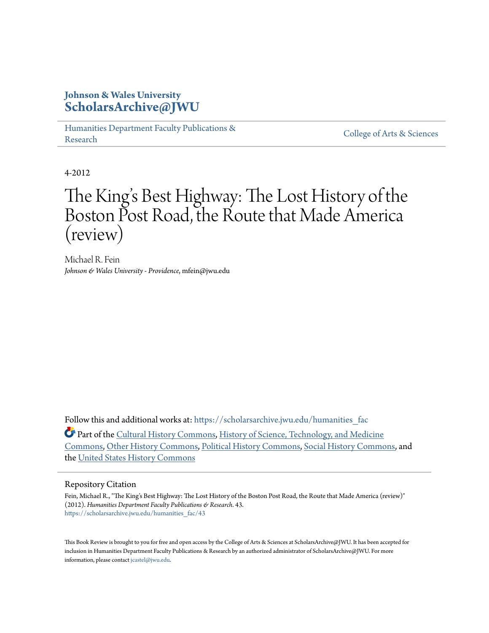## **Johnson & Wales University [ScholarsArchive@JWU](https://scholarsarchive.jwu.edu?utm_source=scholarsarchive.jwu.edu%2Fhumanities_fac%2F43&utm_medium=PDF&utm_campaign=PDFCoverPages)**

[Humanities Department Faculty Publications &](https://scholarsarchive.jwu.edu/humanities_fac?utm_source=scholarsarchive.jwu.edu%2Fhumanities_fac%2F43&utm_medium=PDF&utm_campaign=PDFCoverPages) rumanties Department Pacifity Publications & [College of Arts & Sciences](https://scholarsarchive.jwu.edu/arts_sciences?utm_source=scholarsarchive.jwu.edu%2Fhumanities_fac%2F43&utm_medium=PDF&utm_campaign=PDFCoverPages)

4-2012

# The King 's Best Highway: The Lost History of the Boston Post Road, the Route that Made America (review)

Michael R. Fein *Johnson & Wales University - Providence*, mfein@jwu.edu

Follow this and additional works at: https://scholarsarchive.jwu.edu/humanities fac

Part of the [Cultural History Commons,](http://network.bepress.com/hgg/discipline/496?utm_source=scholarsarchive.jwu.edu%2Fhumanities_fac%2F43&utm_medium=PDF&utm_campaign=PDFCoverPages) [History of Science, Technology, and Medicine](http://network.bepress.com/hgg/discipline/500?utm_source=scholarsarchive.jwu.edu%2Fhumanities_fac%2F43&utm_medium=PDF&utm_campaign=PDFCoverPages) [Commons,](http://network.bepress.com/hgg/discipline/500?utm_source=scholarsarchive.jwu.edu%2Fhumanities_fac%2F43&utm_medium=PDF&utm_campaign=PDFCoverPages) [Other History Commons,](http://network.bepress.com/hgg/discipline/508?utm_source=scholarsarchive.jwu.edu%2Fhumanities_fac%2F43&utm_medium=PDF&utm_campaign=PDFCoverPages) [Political History Commons](http://network.bepress.com/hgg/discipline/505?utm_source=scholarsarchive.jwu.edu%2Fhumanities_fac%2F43&utm_medium=PDF&utm_campaign=PDFCoverPages), [Social History Commons,](http://network.bepress.com/hgg/discipline/506?utm_source=scholarsarchive.jwu.edu%2Fhumanities_fac%2F43&utm_medium=PDF&utm_campaign=PDFCoverPages) and the [United States History Commons](http://network.bepress.com/hgg/discipline/495?utm_source=scholarsarchive.jwu.edu%2Fhumanities_fac%2F43&utm_medium=PDF&utm_campaign=PDFCoverPages)

### Repository Citation

Fein, Michael R., "The King's Best Highway: The Lost History of the Boston Post Road, the Route that Made America (review)" (2012). *Humanities Department Faculty Publications & Research*. 43. [https://scholarsarchive.jwu.edu/humanities\\_fac/43](https://scholarsarchive.jwu.edu/humanities_fac/43?utm_source=scholarsarchive.jwu.edu%2Fhumanities_fac%2F43&utm_medium=PDF&utm_campaign=PDFCoverPages)

This Book Review is brought to you for free and open access by the College of Arts & Sciences at ScholarsArchive@JWU. It has been accepted for inclusion in Humanities Department Faculty Publications & Research by an authorized administrator of ScholarsArchive@JWU. For more information, please contact [jcastel@jwu.edu.](mailto:jcastel@jwu.edu)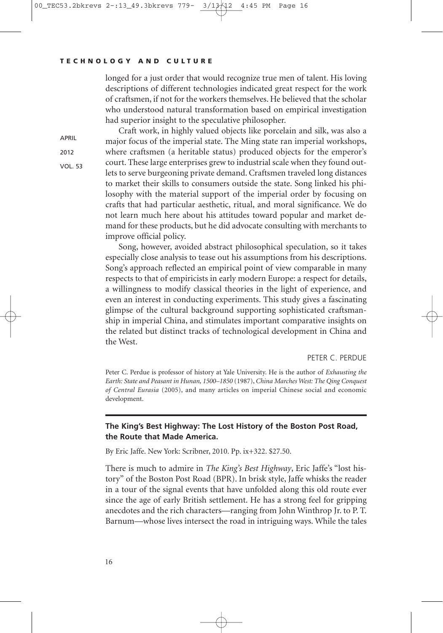#### T E C H N O L O G Y A N D C U L T U R E

APRIL 2012 VOL. 53 longed for a just order that would recognize true men of talent. His loving descriptions of different technologies indicated great respect for the work of craftsmen, if not for the workers themselves. He believed that the scholar who understood natural transformation based on empirical investigation had superior insight to the speculative philosopher.

Craft work, in highly valued objects like porcelain and silk, was also a major focus of the imperial state. The Ming state ran imperial workshops, where craftsmen (a heritable status) produced objects for the emperor's court. These large enterprises grew to industrial scale when they found outlets to serve burgeoning private demand. Craftsmen traveled long distances to market their skills to consumers outside the state. Song linked his philosophy with the material support of the imperial order by focusing on crafts that had particular aesthetic, ritual, and moral significance. We do not learn much here about his attitudes toward popular and market demand for these products, but he did advocate consulting with merchants to improve official policy.

Song, however, avoided abstract philosophical speculation, so it takes especially close analysis to tease out his assumptions from his descriptions. Song's approach reflected an empirical point of view comparable in many respects to that of empiricists in early modern Europe: a respect for details, a willingness to modify classical theories in the light of experience, and even an interest in conducting experiments. This study gives a fascinating glimpse of the cultural background supporting sophisticated craftsmanship in imperial China, and stimulates important comparative insights on the related but distinct tracks of technological development in China and the West.

PETER C. PERDUE

Peter C. Perdue is professor of history at Yale University. He is the author of *Exhausting the Earth: State and Peasant in Hunan, 1500–1850* (1987), *China Marches West: The Qing Conquest of Central Eurasia* (2005), and many articles on imperial Chinese social and economic development.

**The King's Best Highway: The Lost History of the Boston Post Road, the Route that Made America.**

By Eric Jaffe. New York: Scribner, 2010. Pp. ix+322. \$27.50.

There is much to admire in *The King's Best Highway*, Eric Jaffe's "lost history" of the Boston Post Road (BPR). In brisk style, Jaffe whisks the reader in a tour of the signal events that have unfolded along this old route ever since the age of early British settlement. He has a strong feel for gripping anecdotes and the rich characters—ranging from John Winthrop Jr. to P. T. Barnum—whose lives intersect the road in intriguing ways. While the tales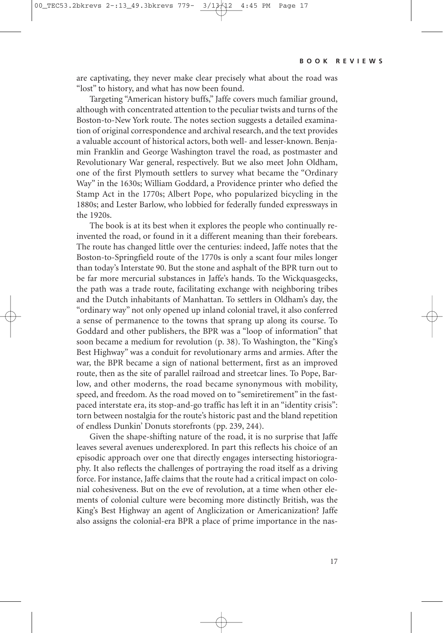are captivating, they never make clear precisely what about the road was "lost" to history, and what has now been found.

Targeting "American history buffs," Jaffe covers much familiar ground, although with concentrated attention to the peculiar twists and turns of the Boston-to-New York route. The notes section suggests a detailed examination of original correspondence and archival research, and the text provides a valuable account of historical actors, both well- and lesser-known. Benjamin Franklin and George Washington travel the road, as postmaster and Revolutionary War general, respectively. But we also meet John Oldham, one of the first Plymouth settlers to survey what became the "Ordinary Way" in the 1630s; William Goddard, a Providence printer who defied the Stamp Act in the 1770s; Albert Pope, who popularized bicycling in the 1880s; and Lester Barlow, who lobbied for federally funded expressways in the 1920s.

The book is at its best when it explores the people who continually reinvented the road, or found in it a different meaning than their forebears. The route has changed little over the centuries: indeed, Jaffe notes that the Boston-to-Springfield route of the 1770s is only a scant four miles longer than today's Interstate 90. But the stone and asphalt of the BPR turn out to be far more mercurial substances in Jaffe's hands. To the Wickquasgecks, the path was a trade route, facilitating exchange with neighboring tribes and the Dutch inhabitants of Manhattan. To settlers in Oldham's day, the "ordinary way" not only opened up inland colonial travel, it also conferred a sense of permanence to the towns that sprang up along its course. To Goddard and other publishers, the BPR was a "loop of information" that soon became a medium for revolution (p. 38). To Washington, the "King's Best Highway" was a conduit for revolutionary arms and armies. After the war, the BPR became a sign of national betterment, first as an improved route, then as the site of parallel railroad and streetcar lines. To Pope, Barlow, and other moderns, the road became synonymous with mobility, speed, and freedom. As the road moved on to "semiretirement" in the fastpaced interstate era, its stop-and-go traffic has left it in an "identity crisis": torn between nostalgia for the route's historic past and the bland repetition of endless Dunkin' Donuts storefronts (pp. 239, 244).

Given the shape-shifting nature of the road, it is no surprise that Jaffe leaves several avenues underexplored. In part this reflects his choice of an episodic approach over one that directly engages intersecting historiography. It also reflects the challenges of portraying the road itself as a driving force. For instance, Jaffe claims that the route had a critical impact on colonial cohesiveness. But on the eve of revolution, at a time when other elements of colonial culture were becoming more distinctly British, was the King's Best Highway an agent of Anglicization or Americanization? Jaffe also assigns the colonial-era BPR a place of prime importance in the nas-